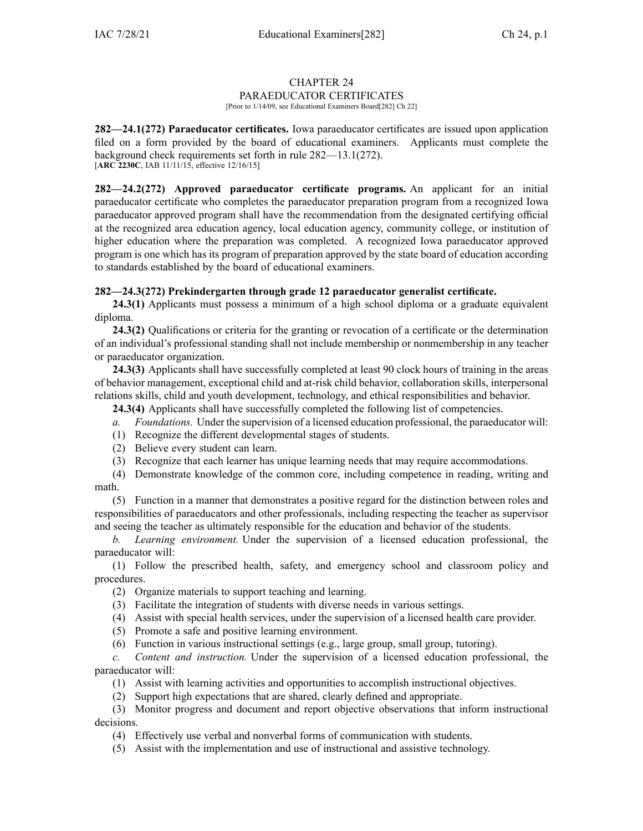## CHAPTER 24 PARAEDUCATOR CERTIFICATES

[Prior to 1/14/09, see Educational Examiners Board[282] Ch 22]

**282—24.1(272) Paraeducator certificates.** Iowa paraeducator certificates are issued upon application filed on <sup>a</sup> form provided by the board of educational examiners. Applicants must complete the background check requirements set forth in rule [282—13.1](https://www.legis.iowa.gov/docs/iac/rule/282.13.1.pdf)(272). [**ARC [2230C](https://www.legis.iowa.gov/docs/aco/arc/2230C.pdf)**, IAB 11/11/15, effective 12/16/15]

**282—24.2(272) Approved paraeducator certificate programs.** An applicant for an initial paraeducator certificate who completes the paraeducator preparation program from <sup>a</sup> recognized Iowa paraeducator approved program shall have the recommendation from the designated certifying official at the recognized area education agency, local education agency, community college, or institution of higher education where the preparation was completed. A recognized Iowa paraeducator approved program is one which has its program of preparation approved by the state board of education according to standards established by the board of educational examiners.

## **282—24.3(272) Prekindergarten through grade 12 paraeducator generalist certificate.**

**24.3(1)** Applicants must possess <sup>a</sup> minimum of <sup>a</sup> high school diploma or <sup>a</sup> graduate equivalent diploma.

**24.3(2)** Qualifications or criteria for the granting or revocation of <sup>a</sup> certificate or the determination of an individual's professional standing shall not include membership or nonmembership in any teacher or paraeducator organization.

**24.3(3)** Applicants shall have successfully completed at least 90 clock hours of training in the areas of behavior management, exceptional child and at-risk child behavior, collaboration skills, interpersonal relations skills, child and youth development, technology, and ethical responsibilities and behavior.

**24.3(4)** Applicants shall have successfully completed the following list of competencies.

- *a. Foundations.* Under the supervision of <sup>a</sup> licensed education professional, the paraeducator will:
- (1) Recognize the different developmental stages of students.
- (2) Believe every student can learn.
- (3) Recognize that each learner has unique learning needs that may require accommodations.
- (4) Demonstrate knowledge of the common core, including competence in reading, writing and math.

(5) Function in <sup>a</sup> manner that demonstrates <sup>a</sup> positive regard for the distinction between roles and responsibilities of paraeducators and other professionals, including respecting the teacher as supervisor and seeing the teacher as ultimately responsible for the education and behavior of the students.

*b. Learning environment.* Under the supervision of <sup>a</sup> licensed education professional, the paraeducator will:

(1) Follow the prescribed health, safety, and emergency school and classroom policy and procedures.

- (2) Organize materials to suppor<sup>t</sup> teaching and learning.
- (3) Facilitate the integration of students with diverse needs in various settings.
- (4) Assist with special health services, under the supervision of <sup>a</sup> licensed health care provider.
- (5) Promote <sup>a</sup> safe and positive learning environment.
- (6) Function in various instructional settings (e.g., large group, small group, tutoring).

*c. Content and instruction.* Under the supervision of <sup>a</sup> licensed education professional, the paraeducator will:

- (1) Assist with learning activities and opportunities to accomplish instructional objectives.
- (2) Support high expectations that are shared, clearly defined and appropriate.

(3) Monitor progress and document and repor<sup>t</sup> objective observations that inform instructional decisions.

- (4) Effectively use verbal and nonverbal forms of communication with students.
- (5) Assist with the implementation and use of instructional and assistive technology.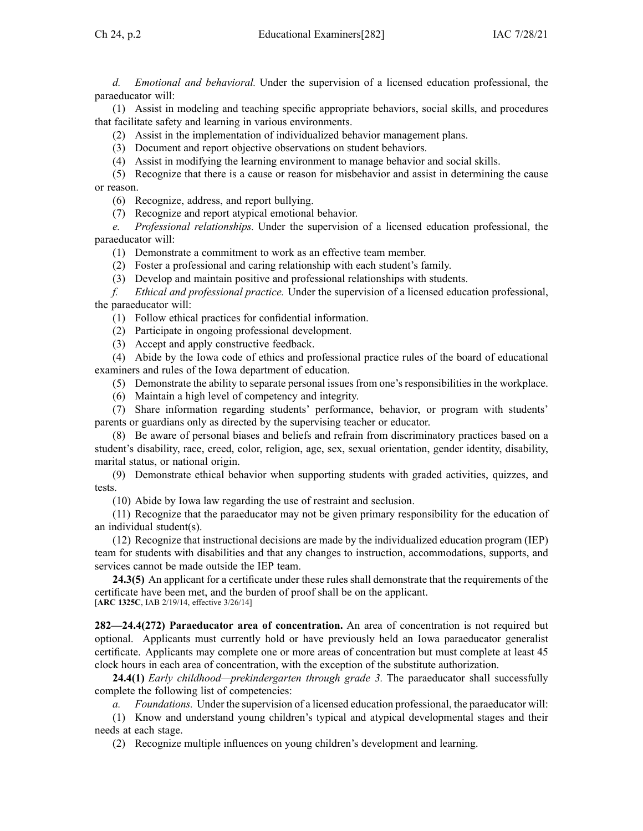*d. Emotional and behavioral.* Under the supervision of <sup>a</sup> licensed education professional, the paraeducator will:

(1) Assist in modeling and teaching specific appropriate behaviors, social skills, and procedures that facilitate safety and learning in various environments.

(2) Assist in the implementation of individualized behavior managemen<sup>t</sup> plans.

(3) Document and repor<sup>t</sup> objective observations on student behaviors.

(4) Assist in modifying the learning environment to manage behavior and social skills.

(5) Recognize that there is <sup>a</sup> cause or reason for misbehavior and assist in determining the cause or reason.

(6) Recognize, address, and repor<sup>t</sup> bullying.

(7) Recognize and repor<sup>t</sup> atypical emotional behavior.

*e. Professional relationships.* Under the supervision of <sup>a</sup> licensed education professional, the paraeducator will:

- (1) Demonstrate <sup>a</sup> commitment to work as an effective team member.
- (2) Foster <sup>a</sup> professional and caring relationship with each student's family.
- (3) Develop and maintain positive and professional relationships with students.

*f. Ethical and professional practice.* Under the supervision of <sup>a</sup> licensed education professional, the paraeducator will:

- (1) Follow ethical practices for confidential information.
- (2) Participate in ongoing professional development.
- (3) Accept and apply constructive feedback.

(4) Abide by the Iowa code of ethics and professional practice rules of the board of educational examiners and rules of the Iowa department of education.

(5) Demonstrate the ability to separate personal issues from one's responsibilities in the workplace.

(6) Maintain <sup>a</sup> high level of competency and integrity.

(7) Share information regarding students' performance, behavior, or program with students' parents or guardians only as directed by the supervising teacher or educator.

(8) Be aware of personal biases and beliefs and refrain from discriminatory practices based on <sup>a</sup> student's disability, race, creed, color, religion, age, sex, sexual orientation, gender identity, disability, marital status, or national origin.

(9) Demonstrate ethical behavior when supporting students with graded activities, quizzes, and tests.

(10) Abide by Iowa law regarding the use of restraint and seclusion.

(11) Recognize that the paraeducator may not be given primary responsibility for the education of an individual student(s).

(12) Recognize that instructional decisions are made by the individualized education program (IEP) team for students with disabilities and that any changes to instruction, accommodations, supports, and services cannot be made outside the IEP team.

**24.3(5)** An applicant for <sup>a</sup> certificate under these rules shall demonstrate that the requirements of the certificate have been met, and the burden of proof shall be on the applicant. [**ARC [1325C](https://www.legis.iowa.gov/docs/aco/arc/1325C.pdf)**, IAB 2/19/14, effective 3/26/14]

**282—24.4(272) Paraeducator area of concentration.** An area of concentration is not required but optional. Applicants must currently hold or have previously held an Iowa paraeducator generalist certificate. Applicants may complete one or more areas of concentration but must complete at least 45 clock hours in each area of concentration, with the exception of the substitute authorization.

**24.4(1)** *Early childhood—prekindergarten through grade 3.* The paraeducator shall successfully complete the following list of competencies:

*a. Foundations.* Under the supervision of <sup>a</sup> licensed education professional, the paraeducator will:

(1) Know and understand young children's typical and atypical developmental stages and their needs at each stage.

(2) Recognize multiple influences on young children's development and learning.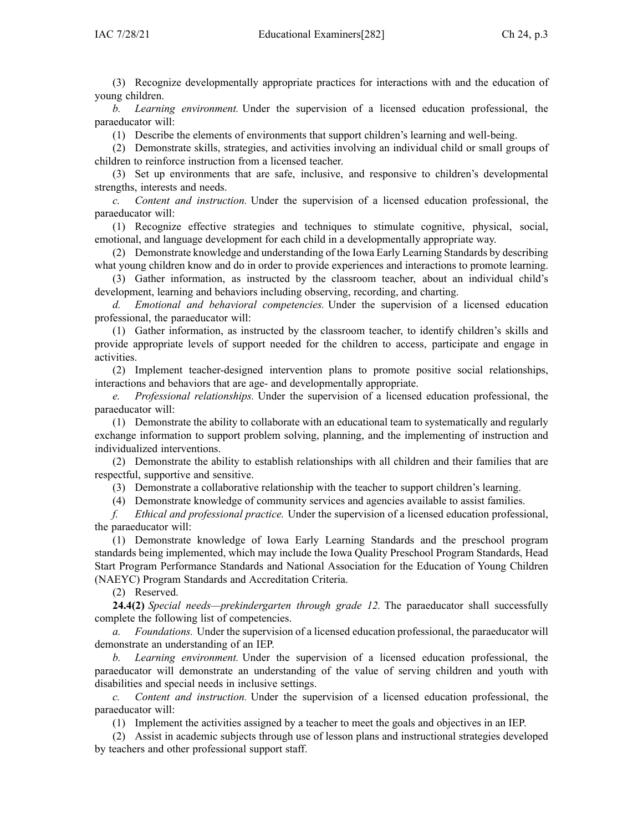(3) Recognize developmentally appropriate practices for interactions with and the education of young children.

*b. Learning environment.* Under the supervision of <sup>a</sup> licensed education professional, the paraeducator will:

(1) Describe the elements of environments that suppor<sup>t</sup> children's learning and well-being.

(2) Demonstrate skills, strategies, and activities involving an individual child or small groups of children to reinforce instruction from <sup>a</sup> licensed teacher.

(3) Set up environments that are safe, inclusive, and responsive to children's developmental strengths, interests and needs.

*c. Content and instruction.* Under the supervision of <sup>a</sup> licensed education professional, the paraeducator will:

(1) Recognize effective strategies and techniques to stimulate cognitive, physical, social, emotional, and language development for each child in <sup>a</sup> developmentally appropriate way.

(2) Demonstrate knowledge and understanding of the Iowa Early Learning Standards by describing what young children know and do in order to provide experiences and interactions to promote learning.

(3) Gather information, as instructed by the classroom teacher, about an individual child's development, learning and behaviors including observing, recording, and charting.

*d. Emotional and behavioral competencies.* Under the supervision of <sup>a</sup> licensed education professional, the paraeducator will:

(1) Gather information, as instructed by the classroom teacher, to identify children's skills and provide appropriate levels of suppor<sup>t</sup> needed for the children to access, participate and engage in activities.

(2) Implement teacher-designed intervention plans to promote positive social relationships, interactions and behaviors that are age- and developmentally appropriate.

*e. Professional relationships.* Under the supervision of <sup>a</sup> licensed education professional, the paraeducator will:

(1) Demonstrate the ability to collaborate with an educational team to systematically and regularly exchange information to suppor<sup>t</sup> problem solving, planning, and the implementing of instruction and individualized interventions.

(2) Demonstrate the ability to establish relationships with all children and their families that are respectful, supportive and sensitive.

(3) Demonstrate <sup>a</sup> collaborative relationship with the teacher to suppor<sup>t</sup> children's learning.

(4) Demonstrate knowledge of community services and agencies available to assist families.

*f. Ethical and professional practice.* Under the supervision of <sup>a</sup> licensed education professional, the paraeducator will:

(1) Demonstrate knowledge of Iowa Early Learning Standards and the preschool program standards being implemented, which may include the Iowa Quality Preschool Program Standards, Head Start Program Performance Standards and National Association for the Education of Young Children (NAEYC) Program Standards and Accreditation Criteria.

(2) Reserved.

**24.4(2)** *Special needs—prekindergarten through grade 12.* The paraeducator shall successfully complete the following list of competencies.

*a. Foundations.* Under the supervision of <sup>a</sup> licensed education professional, the paraeducator will demonstrate an understanding of an IEP.

*b. Learning environment.* Under the supervision of <sup>a</sup> licensed education professional, the paraeducator will demonstrate an understanding of the value of serving children and youth with disabilities and special needs in inclusive settings.

*c. Content and instruction.* Under the supervision of <sup>a</sup> licensed education professional, the paraeducator will:

(1) Implement the activities assigned by <sup>a</sup> teacher to meet the goals and objectives in an IEP.

(2) Assist in academic subjects through use of lesson plans and instructional strategies developed by teachers and other professional suppor<sup>t</sup> staff.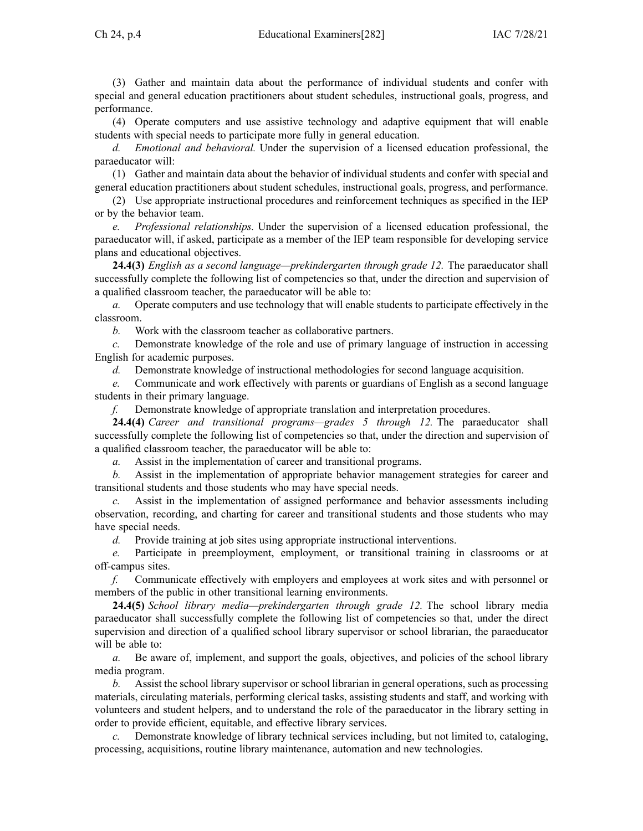(3) Gather and maintain data about the performance of individual students and confer with special and general education practitioners about student schedules, instructional goals, progress, and performance.

(4) Operate computers and use assistive technology and adaptive equipment that will enable students with special needs to participate more fully in general education.

*d. Emotional and behavioral.* Under the supervision of <sup>a</sup> licensed education professional, the paraeducator will:

(1) Gather and maintain data about the behavior of individual students and confer with special and general education practitioners about student schedules, instructional goals, progress, and performance.

(2) Use appropriate instructional procedures and reinforcement techniques as specified in the IEP or by the behavior team.

*e. Professional relationships.* Under the supervision of <sup>a</sup> licensed education professional, the paraeducator will, if asked, participate as <sup>a</sup> member of the IEP team responsible for developing service plans and educational objectives.

**24.4(3)** *English as <sup>a</sup> second language—prekindergarten through grade 12.* The paraeducator shall successfully complete the following list of competencies so that, under the direction and supervision of <sup>a</sup> qualified classroom teacher, the paraeducator will be able to:

*a.* Operate computers and use technology that will enable students to participate effectively in the classroom.

*b.* Work with the classroom teacher as collaborative partners.

*c.* Demonstrate knowledge of the role and use of primary language of instruction in accessing English for academic purposes.

*d.* Demonstrate knowledge of instructional methodologies for second language acquisition.

*e.* Communicate and work effectively with parents or guardians of English as <sup>a</sup> second language students in their primary language.

*f.* Demonstrate knowledge of appropriate translation and interpretation procedures.

**24.4(4)** *Career and transitional programs—grades 5 through 12.* The paraeducator shall successfully complete the following list of competencies so that, under the direction and supervision of <sup>a</sup> qualified classroom teacher, the paraeducator will be able to:

*a.* Assist in the implementation of career and transitional programs.

*b.* Assist in the implementation of appropriate behavior managemen<sup>t</sup> strategies for career and transitional students and those students who may have special needs.

*c.* Assist in the implementation of assigned performance and behavior assessments including observation, recording, and charting for career and transitional students and those students who may have special needs.

*d.* Provide training at job sites using appropriate instructional interventions.

*e.* Participate in preemployment, employment, or transitional training in classrooms or at off-campus sites.

*f.* Communicate effectively with employers and employees at work sites and with personnel or members of the public in other transitional learning environments.

**24.4(5)** *School library media—prekindergarten through grade 12.* The school library media paraeducator shall successfully complete the following list of competencies so that, under the direct supervision and direction of <sup>a</sup> qualified school library supervisor or school librarian, the paraeducator will be able to:

*a.* Be aware of, implement, and suppor<sup>t</sup> the goals, objectives, and policies of the school library media program.

*b.* Assist the school library supervisor or school librarian in general operations, such as processing materials, circulating materials, performing clerical tasks, assisting students and staff, and working with volunteers and student helpers, and to understand the role of the paraeducator in the library setting in order to provide efficient, equitable, and effective library services.

*c.* Demonstrate knowledge of library technical services including, but not limited to, cataloging, processing, acquisitions, routine library maintenance, automation and new technologies.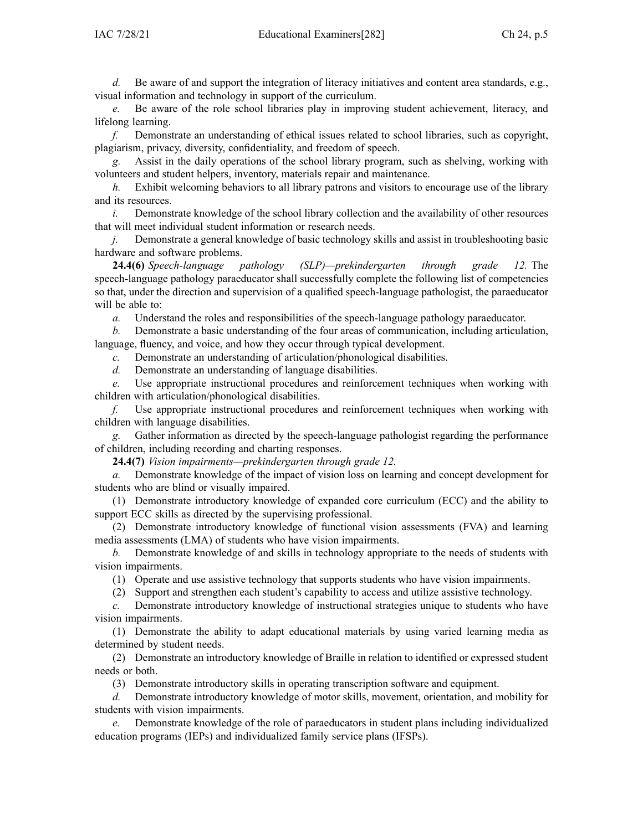*d.* Be aware of and suppor<sup>t</sup> the integration of literacy initiatives and content area standards, e.g., visual information and technology in suppor<sup>t</sup> of the curriculum.

*e.* Be aware of the role school libraries play in improving student achievement, literacy, and lifelong learning.

*f.* Demonstrate an understanding of ethical issues related to school libraries, such as copyright, plagiarism, privacy, diversity, confidentiality, and freedom of speech.

*g.* Assist in the daily operations of the school library program, such as shelving, working with volunteers and student helpers, inventory, materials repair and maintenance.

*h.* Exhibit welcoming behaviors to all library patrons and visitors to encourage use of the library and its resources.

*i.* Demonstrate knowledge of the school library collection and the availability of other resources that will meet individual student information or research needs.

*j.* Demonstrate <sup>a</sup> general knowledge of basic technology skills and assist in troubleshooting basic hardware and software problems.

**24.4(6)** *Speech-language pathology (SLP)—prekindergarten through grade 12.* The speech-language pathology paraeducator shall successfully complete the following list of competencies so that, under the direction and supervision of <sup>a</sup> qualified speech-language pathologist, the paraeducator will be able to:

*a.* Understand the roles and responsibilities of the speech-language pathology paraeducator.

*b.* Demonstrate <sup>a</sup> basic understanding of the four areas of communication, including articulation, language, fluency, and voice, and how they occur through typical development.

*c.* Demonstrate an understanding of articulation/phonological disabilities.

*d.* Demonstrate an understanding of language disabilities.

*e.* Use appropriate instructional procedures and reinforcement techniques when working with children with articulation/phonological disabilities.

*f.* Use appropriate instructional procedures and reinforcement techniques when working with children with language disabilities.

*g.* Gather information as directed by the speech-language pathologist regarding the performance of children, including recording and charting responses.

**24.4(7)** *Vision impairments—prekindergarten through grade 12.*

*a.* Demonstrate knowledge of the impact of vision loss on learning and concep<sup>t</sup> development for students who are blind or visually impaired.

(1) Demonstrate introductory knowledge of expanded core curriculum (ECC) and the ability to suppor<sup>t</sup> ECC skills as directed by the supervising professional.

(2) Demonstrate introductory knowledge of functional vision assessments (FVA) and learning media assessments (LMA) of students who have vision impairments.

*b.* Demonstrate knowledge of and skills in technology appropriate to the needs of students with vision impairments.

(1) Operate and use assistive technology that supports students who have vision impairments.

(2) Support and strengthen each student's capability to access and utilize assistive technology.

*c.* Demonstrate introductory knowledge of instructional strategies unique to students who have vision impairments.

(1) Demonstrate the ability to adapt educational materials by using varied learning media as determined by student needs.

(2) Demonstrate an introductory knowledge of Braille in relation to identified or expressed student needs or both.

(3) Demonstrate introductory skills in operating transcription software and equipment.

*d.* Demonstrate introductory knowledge of motor skills, movement, orientation, and mobility for students with vision impairments.

*e.* Demonstrate knowledge of the role of paraeducators in student plans including individualized education programs (IEPs) and individualized family service plans (IFSPs).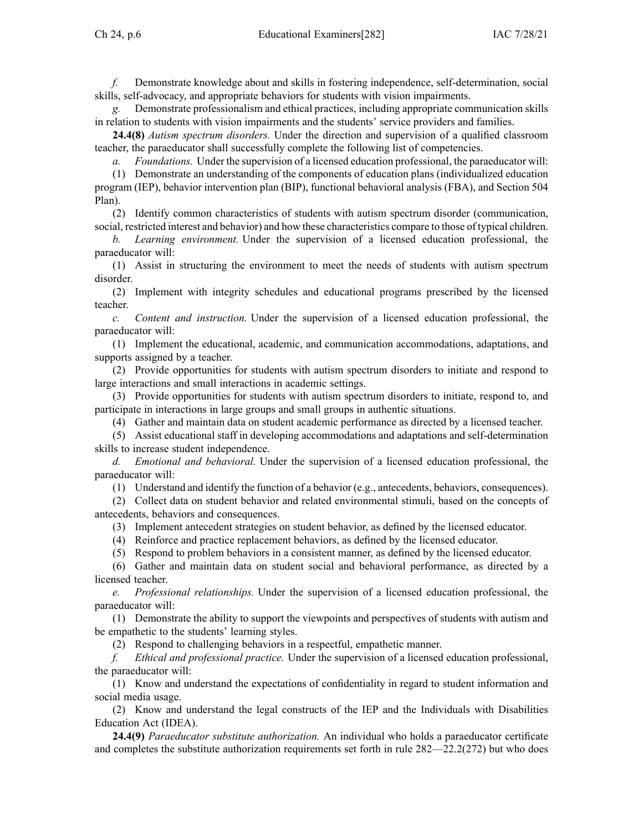*f.* Demonstrate knowledge about and skills in fostering independence, self-determination, social skills, self-advocacy, and appropriate behaviors for students with vision impairments.

*g.* Demonstrate professionalism and ethical practices, including appropriate communication skills in relation to students with vision impairments and the students' service providers and families.

**24.4(8)** *Autism spectrum disorders.* Under the direction and supervision of <sup>a</sup> qualified classroom teacher, the paraeducator shall successfully complete the following list of competencies.

*a. Foundations.* Under the supervision of <sup>a</sup> licensed education professional, the paraeducator will:

(1) Demonstrate an understanding of the components of education plans (individualized education program (IEP), behavior intervention plan (BIP), functional behavioral analysis (FBA), and Section 504 Plan).

(2) Identify common characteristics of students with autism spectrum disorder (communication, social, restricted interest and behavior) and how these characteristics compare to those of typical children.

*b. Learning environment.* Under the supervision of <sup>a</sup> licensed education professional, the paraeducator will:

(1) Assist in structuring the environment to meet the needs of students with autism spectrum disorder.

(2) Implement with integrity schedules and educational programs prescribed by the licensed teacher.

*c. Content and instruction.* Under the supervision of <sup>a</sup> licensed education professional, the paraeducator will:

(1) Implement the educational, academic, and communication accommodations, adaptations, and supports assigned by <sup>a</sup> teacher.

(2) Provide opportunities for students with autism spectrum disorders to initiate and respond to large interactions and small interactions in academic settings.

(3) Provide opportunities for students with autism spectrum disorders to initiate, respond to, and participate in interactions in large groups and small groups in authentic situations.

(4) Gather and maintain data on student academic performance as directed by <sup>a</sup> licensed teacher.

(5) Assist educational staff in developing accommodations and adaptations and self-determination skills to increase student independence.

*d. Emotional and behavioral.* Under the supervision of <sup>a</sup> licensed education professional, the paraeducator will:

(1) Understand and identify the function of <sup>a</sup> behavior (e.g., antecedents, behaviors, consequences).

(2) Collect data on student behavior and related environmental stimuli, based on the concepts of antecedents, behaviors and consequences.

(3) Implement antecedent strategies on student behavior, as defined by the licensed educator.

(4) Reinforce and practice replacement behaviors, as defined by the licensed educator.

(5) Respond to problem behaviors in <sup>a</sup> consistent manner, as defined by the licensed educator.

(6) Gather and maintain data on student social and behavioral performance, as directed by <sup>a</sup> licensed teacher.

*e. Professional relationships.* Under the supervision of <sup>a</sup> licensed education professional, the paraeducator will:

(1) Demonstrate the ability to suppor<sup>t</sup> the viewpoints and perspectives of students with autism and be empathetic to the students' learning styles.

(2) Respond to challenging behaviors in <sup>a</sup> respectful, empathetic manner.

*f. Ethical and professional practice.* Under the supervision of <sup>a</sup> licensed education professional, the paraeducator will:

(1) Know and understand the expectations of confidentiality in regard to student information and social media usage.

(2) Know and understand the legal constructs of the IEP and the Individuals with Disabilities Education Act (IDEA).

**24.4(9)** *Paraeducator substitute authorization.* An individual who holds <sup>a</sup> paraeducator certificate and completes the substitute authorization requirements set forth in rule [282—22.2](https://www.legis.iowa.gov/docs/iac/rule/282.22.2.pdf)(272) but who does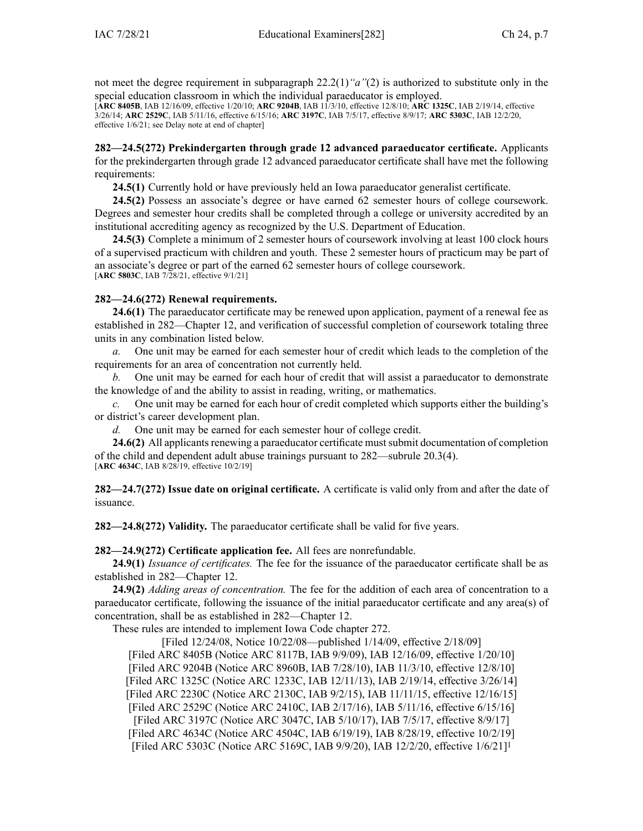not meet the degree requirement in [subparagraph](https://www.legis.iowa.gov/docs/iac/rule/282.22.2.pdf) 22.2(1)*"a"*(2) is authorized to substitute only in the special education classroom in which the individual paraeducator is employed.

[**ARC [8405B](https://www.legis.iowa.gov/docs/aco/arc/8405B.pdf)**, IAB 12/16/09, effective 1/20/10; **ARC [9204B](https://www.legis.iowa.gov/docs/aco/arc/9204B.pdf)**, IAB 11/3/10, effective 12/8/10; **ARC [1325C](https://www.legis.iowa.gov/docs/aco/arc/1325C.pdf)**, IAB 2/19/14, effective 3/26/14; **ARC [2529C](https://www.legis.iowa.gov/docs/aco/arc/2529C.pdf)**, IAB 5/11/16, effective 6/15/16; **ARC [3197C](https://www.legis.iowa.gov/docs/aco/arc/3197C.pdf)**, IAB 7/5/17, effective 8/9/17; **ARC [5303C](https://www.legis.iowa.gov/docs/aco/arc/5303C.pdf)**, IAB 12/2/20, effective 1/6/21; see Delay note at end of chapter]

**282—24.5(272) Prekindergarten through grade 12 advanced paraeducator certificate.** Applicants for the prekindergarten through grade 12 advanced paraeducator certificate shall have met the following requirements:

**24.5(1)** Currently hold or have previously held an Iowa paraeducator generalist certificate.

**24.5(2)** Possess an associate's degree or have earned 62 semester hours of college coursework. Degrees and semester hour credits shall be completed through <sup>a</sup> college or university accredited by an institutional accrediting agency as recognized by the U.S. Department of Education.

**24.5(3)** Complete <sup>a</sup> minimum of 2 semester hours of coursework involving at least 100 clock hours of <sup>a</sup> supervised practicum with children and youth. These 2 semester hours of practicum may be par<sup>t</sup> of an associate's degree or par<sup>t</sup> of the earned 62 semester hours of college coursework. [**ARC [5803C](https://www.legis.iowa.gov/docs/aco/arc/5803C.pdf)**, IAB 7/28/21, effective 9/1/21]

## **282—24.6(272) Renewal requirements.**

**24.6(1)** The paraeducator certificate may be renewed upon application, paymen<sup>t</sup> of <sup>a</sup> renewal fee as established in [282—Chapter](https://www.legis.iowa.gov/docs/iac/chapter/282.12.pdf) 12, and verification of successful completion of coursework totaling three units in any combination listed below.

*a.* One unit may be earned for each semester hour of credit which leads to the completion of the requirements for an area of concentration not currently held.

*b.* One unit may be earned for each hour of credit that will assist <sup>a</sup> paraeducator to demonstrate the knowledge of and the ability to assist in reading, writing, or mathematics.

*c.* One unit may be earned for each hour of credit completed which supports either the building's or district's career development plan.

*d.* One unit may be earned for each semester hour of college credit.

**24.6(2)** All applicants renewing a paraeducator certificate must submit documentation of completion of the child and dependent adult abuse trainings pursuan<sup>t</sup> to 282—subrule 20.3(4). [**ARC [4634C](https://www.legis.iowa.gov/docs/aco/arc/4634C.pdf)**, IAB 8/28/19, effective 10/2/19]

**282—24.7(272) Issue date on original certificate.** A certificate is valid only from and after the date of issuance.

**282—24.8(272) Validity.** The paraeducator certificate shall be valid for five years.

## **282—24.9(272) Certificate application fee.** All fees are nonrefundable.

**24.9(1)** *Issuance of certificates.* The fee for the issuance of the paraeducator certificate shall be as established in [282—Chapter](https://www.legis.iowa.gov/docs/iac/chapter/282.12.pdf) 12.

**24.9(2)** *Adding areas of concentration.* The fee for the addition of each area of concentration to <sup>a</sup> paraeducator certificate, following the issuance of the initial paraeducator certificate and any area(s) of concentration, shall be as established in [282—Chapter](https://www.legis.iowa.gov/docs/iac/chapter/282.12.pdf) 12.

These rules are intended to implement Iowa Code chapter [272](https://www.legis.iowa.gov/docs/ico/chapter/272.pdf).

[Filed 12/24/08, Notice 10/22/08—published 1/14/09, effective 2/18/09] [[Filed](https://www.legis.iowa.gov/docs/aco/arc/8405B.pdf) ARC 8405B [\(Notice](https://www.legis.iowa.gov/docs/aco/arc/8117B.pdf) ARC 8117B, IAB 9/9/09), IAB 12/16/09, effective 1/20/10] [Filed ARC [9204B](https://www.legis.iowa.gov/docs/aco/arc/9204B.pdf) [\(Notice](https://www.legis.iowa.gov/docs/aco/arc/8960B.pdf) ARC 8960B, IAB 7/28/10), IAB 11/3/10, effective 12/8/10] [[Filed](https://www.legis.iowa.gov/docs/aco/arc/1325C.pdf) ARC 1325C ([Notice](https://www.legis.iowa.gov/docs/aco/arc/1233C.pdf) ARC 1233C, IAB 12/11/13), IAB 2/19/14, effective 3/26/14] [Filed ARC [2230C](https://www.legis.iowa.gov/docs/aco/arc/2230C.pdf) ([Notice](https://www.legis.iowa.gov/docs/aco/arc/2130C.pdf) ARC 2130C, IAB 9/2/15), IAB 11/11/15, effective 12/16/15] [[Filed](https://www.legis.iowa.gov/docs/aco/arc/2529C.pdf) ARC 2529C [\(Notice](https://www.legis.iowa.gov/docs/aco/arc/2410C.pdf) ARC 2410C, IAB 2/17/16), IAB 5/11/16, effective 6/15/16] [[Filed](https://www.legis.iowa.gov/docs/aco/arc/3197C.pdf) ARC 3197C [\(Notice](https://www.legis.iowa.gov/docs/aco/arc/3047C.pdf) ARC 3047C, IAB 5/10/17), IAB 7/5/17, effective 8/9/17] [Filed ARC [4634C](https://www.legis.iowa.gov/docs/aco/arc/4634C.pdf) ([Notice](https://www.legis.iowa.gov/docs/aco/arc/4504C.pdf) ARC 4504C, IAB 6/19/19), IAB 8/28/19, effective 10/2/19] [[Filed](https://www.legis.iowa.gov/docs/aco/arc/5303C.pdf) ARC 5303C [\(Notice](https://www.legis.iowa.gov/docs/aco/arc/5169C.pdf) ARC 5169C, IAB 9/9/20), IAB 12/2/20, effective 1/6/21]<sup>1</sup>